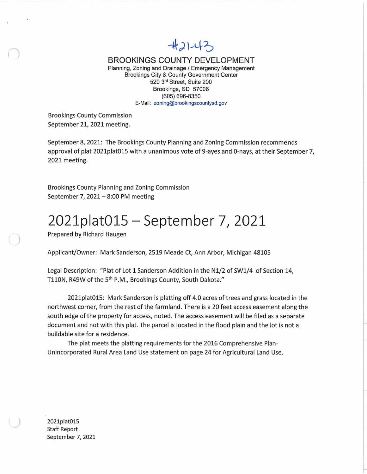## $#21-43$

BROOKINGS COUNTY DEVELOPMENT

Planning, Zoning and Drainage / Emergency Management Brookings City & County Government Center 520 Street, Suite 200 Brookings, SD 57006 (605) 696-8350 E-Mail; [zoning@brookingscountysd.gov](mailto:zoning@brookingscountysd.gov)

Brookings County Commission September *21,* 2021 meeting.

September 8, 2021: The Brookings County Planning and Zoning Commission recommends approval of plat 2021plat015 with a unanimous vote of 9-ayes and O-nays, at their September *7,* 2021 meeting.

Brookings County Planning and Zoning Commission September 7, 2021  $-$  8:00 PM meeting

## 2021plat015 - September 7, <sup>2021</sup>

Prepared by Richard Haugen

Applicant/Owner: Mark Sanderson, 2519 Meade Ct, Ann Arbor, Michigan 48105

Legal Description: "Plat of Lot 1 Sanderson Addition in the N1/2 of SW1/4 of Section 14, T110N, R49W of the 5<sup>th</sup> P.M., Brookings County, South Dakota."

2021plat015: Mark Sanderson is platting off 4.0 acres oftrees and grass located in the northwest corner, from the rest of the farmland. There is a 20 feet access easement along the south edge of the property for access, noted. The access easement will be filed as a separate document and not with this plat. The parcel is located in the flood plain and the lot is not <sup>a</sup> buildable site for a residence.

The plat meets the platting requirements for the 2016 Comprehensive Plan-Unincorporated Rural Area Land Use statement on page 24 for Agricultural Land Use.

2021plat015 Staff Report September 7, 2021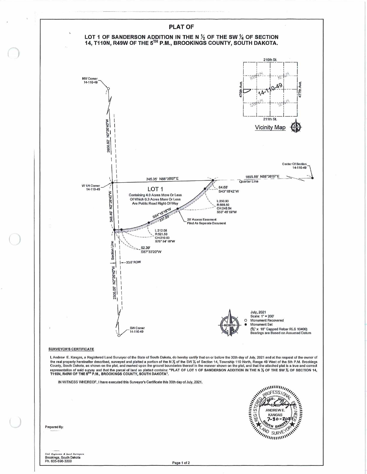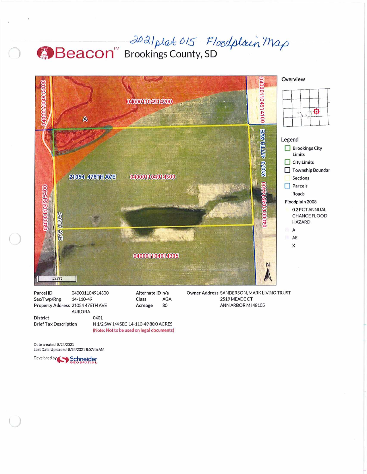## 2021 plat 015 Floodplain Map



| Parcel ID                        | 040001104914300 |                                           | Alternate ID n/a |  |  |
|----------------------------------|-----------------|-------------------------------------------|------------------|--|--|
| Sec/Twp/Rng                      | 14-110-49       | Class                                     | <b>AGA</b>       |  |  |
| Property Address 21054 476TH AVE |                 | Acreage                                   | 80               |  |  |
|                                  | <b>AURORA</b>   |                                           |                  |  |  |
| <b>District</b>                  | 0401            |                                           |                  |  |  |
| <b>Brief Tax Description</b>     |                 | N 1/2 SW 1/4 SEC 14-110-49 80.0 ACRES     |                  |  |  |
|                                  |                 | (Note: Not to be used on legal documents) |                  |  |  |

2519 MEADE CT ANN ARBOR MI 48105

Date created: 8/24/2021 Last Data Uploaded: 8/24/2021 8:07:46 AM

Developed by Schneider